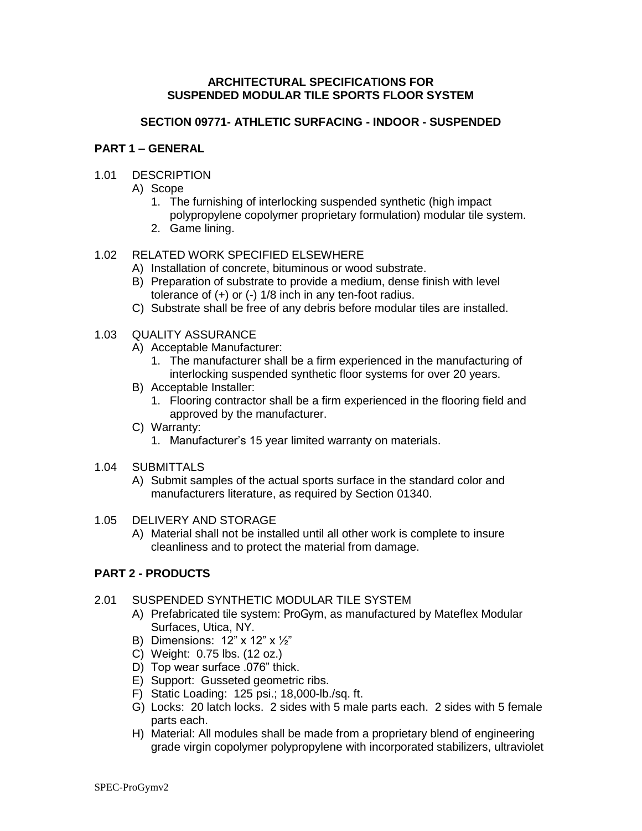## **ARCHITECTURAL SPECIFICATIONS FOR SUSPENDED MODULAR TILE SPORTS FLOOR SYSTEM**

### **SECTION 09771- ATHLETIC SURFACING - INDOOR - SUSPENDED**

#### **PART 1 – GENERAL**

### 1.01 DESCRIPTION

A) Scope

- 1. The furnishing of interlocking suspended synthetic (high impact polypropylene copolymer proprietary formulation) modular tile system.
- 2. Game lining.

# 1.02 RELATED WORK SPECIFIED ELSEWHERE

- A) Installation of concrete, bituminous or wood substrate.
- B) Preparation of substrate to provide a medium, dense finish with level tolerance of (+) or (-) 1/8 inch in any ten-foot radius.
- C) Substrate shall be free of any debris before modular tiles are installed.

#### 1.03 QUALITY ASSURANCE

- A) Acceptable Manufacturer:
	- 1. The manufacturer shall be a firm experienced in the manufacturing of interlocking suspended synthetic floor systems for over 20 years.
- B) Acceptable Installer:
	- 1. Flooring contractor shall be a firm experienced in the flooring field and approved by the manufacturer.
- C) Warranty:
	- 1. Manufacturer's 15 year limited warranty on materials.
- 1.04 SUBMITTALS
	- A) Submit samples of the actual sports surface in the standard color and manufacturers literature, as required by Section 01340.

### 1.05 DELIVERY AND STORAGE

A) Material shall not be installed until all other work is complete to insure cleanliness and to protect the material from damage.

# **PART 2 - PRODUCTS**

# 2.01 SUSPENDED SYNTHETIC MODULAR TILE SYSTEM

- A) Prefabricated tile system: ProGym, as manufactured by Mateflex Modular Surfaces, Utica, NY.
- B) Dimensions: 12" x 12" x ½"
- C) Weight: 0.75 lbs. (12 oz.)
- D) Top wear surface .076" thick.
- E) Support: Gusseted geometric ribs.
- F) Static Loading: 125 psi.; 18,000-lb./sq. ft.
- G) Locks: 20 latch locks. 2 sides with 5 male parts each. 2 sides with 5 female parts each.
- H) Material: All modules shall be made from a proprietary blend of engineering grade virgin copolymer polypropylene with incorporated stabilizers, ultraviolet